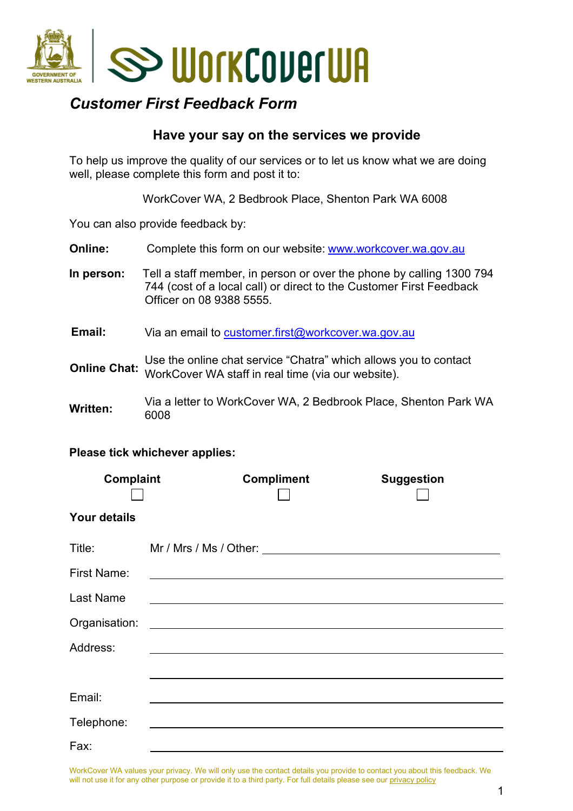

## *Customer First Feedback Form*

### **Have your say on the services we provide**

To help us improve the quality of our services or to let us know what we are doing well, please complete this form and post it to:

WorkCover WA, 2 Bedbrook Place, Shenton Park WA 6008

You can also provide feedback by:

**Online:** Complete this form on our website: [www.workcover.wa.gov.au](http://www.workcover.wa.gov.au/)

**In person:** Tell a staff member, in person or over the phone by calling 1300 794 744 (cost of a local call) or direct to the Customer First Feedback Officer on 08 9388 5555.

**Email:** Via an email to customer.first@workcover.wa.gov.au

Use the online [chat service "Chatra" which allows you](mailto:customer.first@workcover.wa.gov.au) to contact WorkCover WA staff in real time (via our website). **Online Chat:** 

**Written:** Via a letter to WorkCover WA, 2 Bedbrook Place, Shenton Park WA 6008

#### **Please tick whichever applies:**

| Complaint                                                                                                                                                                                                                      | <b>Compliment</b>                                                                                                    | <b>Suggestion</b> |
|--------------------------------------------------------------------------------------------------------------------------------------------------------------------------------------------------------------------------------|----------------------------------------------------------------------------------------------------------------------|-------------------|
| <b>Your details</b>                                                                                                                                                                                                            |                                                                                                                      |                   |
| Title: The Think of the Think of the Think of the Think of the Think of the Think of the Think of the Think of the Think of the Think of the Think of the Think of the Think of the Think of the Think of the Think of the Thi |                                                                                                                      |                   |
| First Name:                                                                                                                                                                                                                    |                                                                                                                      |                   |
| <b>Last Name</b>                                                                                                                                                                                                               |                                                                                                                      |                   |
| Organisation:                                                                                                                                                                                                                  | <u> 1989 - Johann John Stein, markin fan it ferstjer fan it ferstjer fan it ferstjer fan it ferstjer fan it fers</u> |                   |
| Address:                                                                                                                                                                                                                       |                                                                                                                      |                   |
|                                                                                                                                                                                                                                |                                                                                                                      |                   |
| Email:                                                                                                                                                                                                                         |                                                                                                                      |                   |
| Telephone:                                                                                                                                                                                                                     |                                                                                                                      |                   |
| Fax:                                                                                                                                                                                                                           |                                                                                                                      |                   |

WorkCover WA values your privacy. We will only use the contact details you provide to contact you about this feedback. We will not use it for any other purpose or provide it to a third party. For full details please see our privacy policy